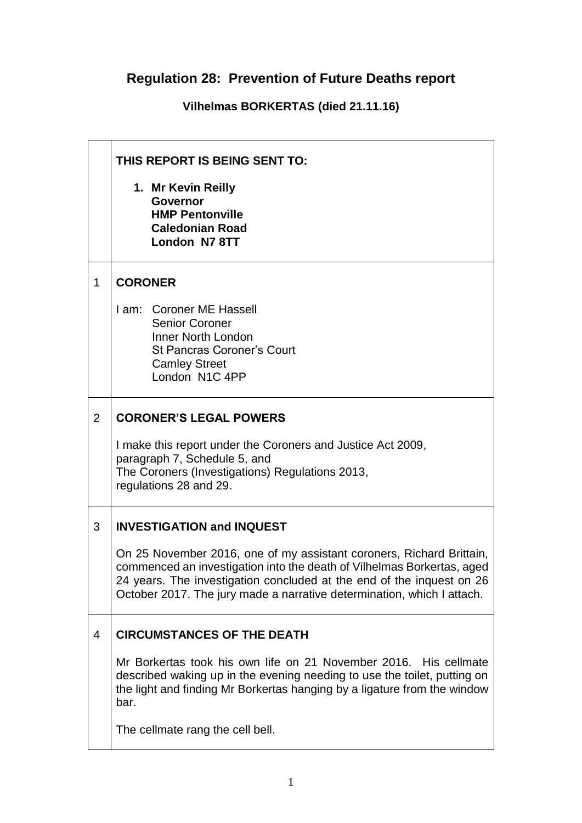## **Regulation 28: Prevention of Future Deaths report**

**Vilhelmas BORKERTAS (died 21.11.16)**

|   | THIS REPORT IS BEING SENT TO:                                                                                                                                                                                                                                                                     |  |
|---|---------------------------------------------------------------------------------------------------------------------------------------------------------------------------------------------------------------------------------------------------------------------------------------------------|--|
|   | 1. Mr Kevin Reilly<br><b>Governor</b><br><b>HMP Pentonville</b><br><b>Caledonian Road</b><br>London N7 8TT                                                                                                                                                                                        |  |
| 1 | <b>CORONER</b>                                                                                                                                                                                                                                                                                    |  |
|   | I am: Coroner ME Hassell<br><b>Senior Coroner</b><br>Inner North London<br><b>St Pancras Coroner's Court</b><br><b>Camley Street</b><br>London N1C 4PP                                                                                                                                            |  |
| 2 | <b>CORONER'S LEGAL POWERS</b>                                                                                                                                                                                                                                                                     |  |
|   | I make this report under the Coroners and Justice Act 2009,<br>paragraph 7, Schedule 5, and<br>The Coroners (Investigations) Regulations 2013,<br>regulations 28 and 29.                                                                                                                          |  |
| 3 | <b>INVESTIGATION and INQUEST</b>                                                                                                                                                                                                                                                                  |  |
|   | On 25 November 2016, one of my assistant coroners, Richard Brittain,<br>commenced an investigation into the death of Vilhelmas Borkertas, aged<br>24 years. The investigation concluded at the end of the inquest on 26<br>October 2017. The jury made a narrative determination, which I attach. |  |
| 4 | <b>CIRCUMSTANCES OF THE DEATH</b>                                                                                                                                                                                                                                                                 |  |
|   | Mr Borkertas took his own life on 21 November 2016. His cellmate<br>described waking up in the evening needing to use the toilet, putting on<br>the light and finding Mr Borkertas hanging by a ligature from the window<br>bar.                                                                  |  |
|   | The cellmate rang the cell bell.                                                                                                                                                                                                                                                                  |  |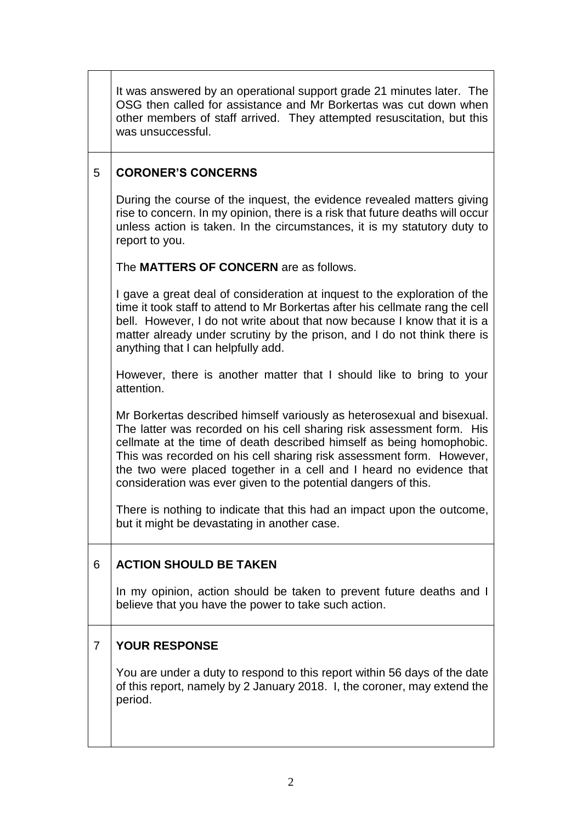|                | It was answered by an operational support grade 21 minutes later. The<br>OSG then called for assistance and Mr Borkertas was cut down when<br>other members of staff arrived. They attempted resuscitation, but this<br>was unsuccessful.                                                                                                                                                                                                |
|----------------|------------------------------------------------------------------------------------------------------------------------------------------------------------------------------------------------------------------------------------------------------------------------------------------------------------------------------------------------------------------------------------------------------------------------------------------|
| 5              | <b>CORONER'S CONCERNS</b>                                                                                                                                                                                                                                                                                                                                                                                                                |
|                | During the course of the inquest, the evidence revealed matters giving<br>rise to concern. In my opinion, there is a risk that future deaths will occur<br>unless action is taken. In the circumstances, it is my statutory duty to<br>report to you.                                                                                                                                                                                    |
|                | The <b>MATTERS OF CONCERN</b> are as follows.                                                                                                                                                                                                                                                                                                                                                                                            |
|                | I gave a great deal of consideration at inquest to the exploration of the<br>time it took staff to attend to Mr Borkertas after his cellmate rang the cell<br>bell. However, I do not write about that now because I know that it is a<br>matter already under scrutiny by the prison, and I do not think there is<br>anything that I can helpfully add.                                                                                 |
|                | However, there is another matter that I should like to bring to your<br>attention.                                                                                                                                                                                                                                                                                                                                                       |
|                | Mr Borkertas described himself variously as heterosexual and bisexual.<br>The latter was recorded on his cell sharing risk assessment form. His<br>cellmate at the time of death described himself as being homophobic.<br>This was recorded on his cell sharing risk assessment form. However,<br>the two were placed together in a cell and I heard no evidence that<br>consideration was ever given to the potential dangers of this. |
|                | There is nothing to indicate that this had an impact upon the outcome,<br>but it might be devastating in another case.                                                                                                                                                                                                                                                                                                                   |
| 6              | <b>ACTION SHOULD BE TAKEN</b>                                                                                                                                                                                                                                                                                                                                                                                                            |
|                | In my opinion, action should be taken to prevent future deaths and I<br>believe that you have the power to take such action.                                                                                                                                                                                                                                                                                                             |
| $\overline{7}$ | <b>YOUR RESPONSE</b>                                                                                                                                                                                                                                                                                                                                                                                                                     |
|                | You are under a duty to respond to this report within 56 days of the date<br>of this report, namely by 2 January 2018. I, the coroner, may extend the<br>period.                                                                                                                                                                                                                                                                         |
|                |                                                                                                                                                                                                                                                                                                                                                                                                                                          |